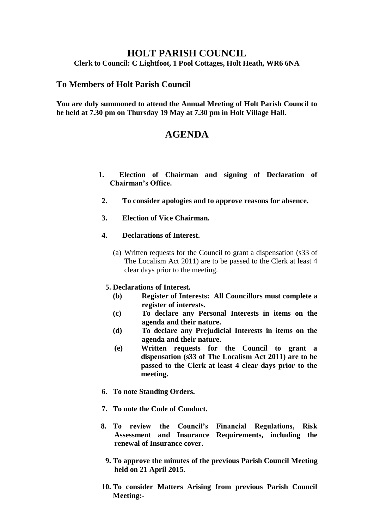# **HOLT PARISH COUNCIL**

### **Clerk to Council: C Lightfoot, 1 Pool Cottages, Holt Heath, WR6 6NA**

## **To Members of Holt Parish Council**

**You are duly summoned to attend the Annual Meeting of Holt Parish Council to be held at 7.30 pm on Thursday 19 May at 7.30 pm in Holt Village Hall.**

# **AGENDA**

- **1. Election of Chairman and signing of Declaration of Chairman's Office.**
- **2. To consider apologies and to approve reasons for absence.**
- **3. Election of Vice Chairman.**
- **4. Declarations of Interest.**
	- (a) Written requests for the Council to grant a dispensation (s33 of The Localism Act 2011) are to be passed to the Clerk at least 4 clear days prior to the meeting.
	- **5. Declarations of Interest.**
		- **(b) Register of Interests: All Councillors must complete a register of interests.**
		- **(c) To declare any Personal Interests in items on the agenda and their nature.**
		- **(d) To declare any Prejudicial Interests in items on the agenda and their nature.**
		- **(e) Written requests for the Council to grant a dispensation (s33 of The Localism Act 2011) are to be passed to the Clerk at least 4 clear days prior to the meeting.**
- **6. To note Standing Orders.**
- **7. To note the Code of Conduct.**
- **8. To review the Council's Financial Regulations, Risk Assessment and Insurance Requirements, including the renewal of Insurance cover.**
	- **9. To approve the minutes of the previous Parish Council Meeting held on 21 April 2015.**
- **10. To consider Matters Arising from previous Parish Council Meeting:-**